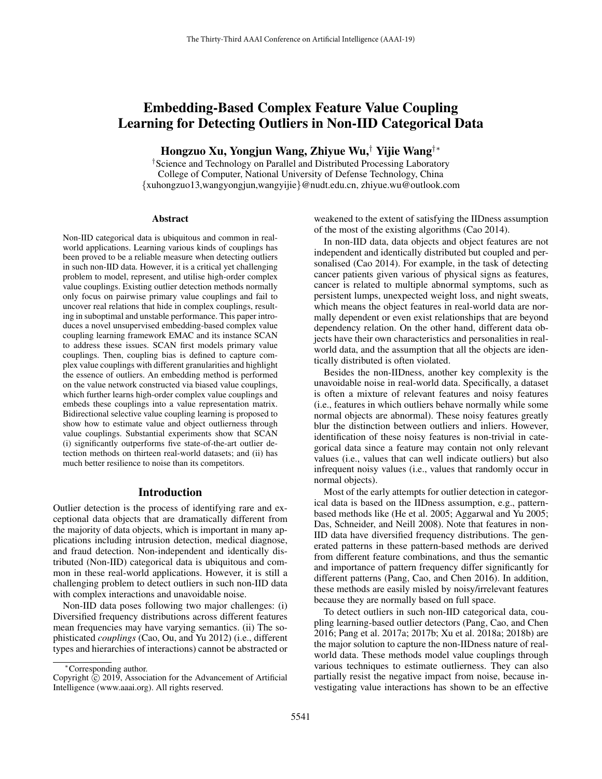# Embedding-Based Complex Feature Value Coupling Learning for Detecting Outliers in Non-IID Categorical Data

Hongzuo Xu, Yongjun Wang, Zhiyue Wu,† Yijie Wang†∗

†Science and Technology on Parallel and Distributed Processing Laboratory College of Computer, National University of Defense Technology, China {xuhongzuo13,wangyongjun,wangyijie}@nudt.edu.cn, zhiyue.wu@outlook.com

#### Abstract

Non-IID categorical data is ubiquitous and common in realworld applications. Learning various kinds of couplings has been proved to be a reliable measure when detecting outliers in such non-IID data. However, it is a critical yet challenging problem to model, represent, and utilise high-order complex value couplings. Existing outlier detection methods normally only focus on pairwise primary value couplings and fail to uncover real relations that hide in complex couplings, resulting in suboptimal and unstable performance. This paper introduces a novel unsupervised embedding-based complex value coupling learning framework EMAC and its instance SCAN to address these issues. SCAN first models primary value couplings. Then, coupling bias is defined to capture complex value couplings with different granularities and highlight the essence of outliers. An embedding method is performed on the value network constructed via biased value couplings, which further learns high-order complex value couplings and embeds these couplings into a value representation matrix. Bidirectional selective value coupling learning is proposed to show how to estimate value and object outlierness through value couplings. Substantial experiments show that SCAN (i) significantly outperforms five state-of-the-art outlier detection methods on thirteen real-world datasets; and (ii) has much better resilience to noise than its competitors.

#### Introduction

Outlier detection is the process of identifying rare and exceptional data objects that are dramatically different from the majority of data objects, which is important in many applications including intrusion detection, medical diagnose, and fraud detection. Non-independent and identically distributed (Non-IID) categorical data is ubiquitous and common in these real-world applications. However, it is still a challenging problem to detect outliers in such non-IID data with complex interactions and unavoidable noise.

Non-IID data poses following two major challenges: (i) Diversified frequency distributions across different features mean frequencies may have varying semantics. (ii) The sophisticated *couplings* (Cao, Ou, and Yu 2012) (i.e., different types and hierarchies of interactions) cannot be abstracted or

weakened to the extent of satisfying the IIDness assumption of the most of the existing algorithms (Cao 2014).

In non-IID data, data objects and object features are not independent and identically distributed but coupled and personalised (Cao 2014). For example, in the task of detecting cancer patients given various of physical signs as features, cancer is related to multiple abnormal symptoms, such as persistent lumps, unexpected weight loss, and night sweats, which means the object features in real-world data are normally dependent or even exist relationships that are beyond dependency relation. On the other hand, different data objects have their own characteristics and personalities in realworld data, and the assumption that all the objects are identically distributed is often violated.

Besides the non-IIDness, another key complexity is the unavoidable noise in real-world data. Specifically, a dataset is often a mixture of relevant features and noisy features (i.e., features in which outliers behave normally while some normal objects are abnormal). These noisy features greatly blur the distinction between outliers and inliers. However, identification of these noisy features is non-trivial in categorical data since a feature may contain not only relevant values (i.e., values that can well indicate outliers) but also infrequent noisy values (i.e., values that randomly occur in normal objects).

Most of the early attempts for outlier detection in categorical data is based on the IIDness assumption, e.g., patternbased methods like (He et al. 2005; Aggarwal and Yu 2005; Das, Schneider, and Neill 2008). Note that features in non-IID data have diversified frequency distributions. The generated patterns in these pattern-based methods are derived from different feature combinations, and thus the semantic and importance of pattern frequency differ significantly for different patterns (Pang, Cao, and Chen 2016). In addition, these methods are easily misled by noisy/irrelevant features because they are normally based on full space.

To detect outliers in such non-IID categorical data, coupling learning-based outlier detectors (Pang, Cao, and Chen 2016; Pang et al. 2017a; 2017b; Xu et al. 2018a; 2018b) are the major solution to capture the non-IIDness nature of realworld data. These methods model value couplings through various techniques to estimate outlierness. They can also partially resist the negative impact from noise, because investigating value interactions has shown to be an effective

<sup>∗</sup>Corresponding author.

Copyright  $\overline{c}$  2019, Association for the Advancement of Artificial Intelligence (www.aaai.org). All rights reserved.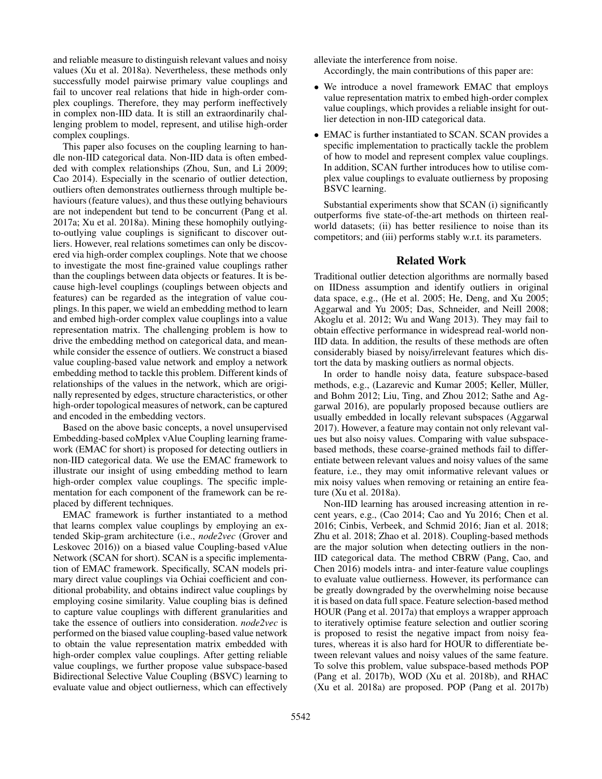and reliable measure to distinguish relevant values and noisy values (Xu et al. 2018a). Nevertheless, these methods only successfully model pairwise primary value couplings and fail to uncover real relations that hide in high-order complex couplings. Therefore, they may perform ineffectively in complex non-IID data. It is still an extraordinarily challenging problem to model, represent, and utilise high-order complex couplings.

This paper also focuses on the coupling learning to handle non-IID categorical data. Non-IID data is often embedded with complex relationships (Zhou, Sun, and Li 2009; Cao 2014). Especially in the scenario of outlier detection, outliers often demonstrates outlierness through multiple behaviours (feature values), and thus these outlying behaviours are not independent but tend to be concurrent (Pang et al. 2017a; Xu et al. 2018a). Mining these homophily outlyingto-outlying value couplings is significant to discover outliers. However, real relations sometimes can only be discovered via high-order complex couplings. Note that we choose to investigate the most fine-grained value couplings rather than the couplings between data objects or features. It is because high-level couplings (couplings between objects and features) can be regarded as the integration of value couplings. In this paper, we wield an embedding method to learn and embed high-order complex value couplings into a value representation matrix. The challenging problem is how to drive the embedding method on categorical data, and meanwhile consider the essence of outliers. We construct a biased value coupling-based value network and employ a network embedding method to tackle this problem. Different kinds of relationships of the values in the network, which are originally represented by edges, structure characteristics, or other high-order topological measures of network, can be captured and encoded in the embedding vectors.

Based on the above basic concepts, a novel unsupervised Embedding-based coMplex vAlue Coupling learning framework (EMAC for short) is proposed for detecting outliers in non-IID categorical data. We use the EMAC framework to illustrate our insight of using embedding method to learn high-order complex value couplings. The specific implementation for each component of the framework can be replaced by different techniques.

EMAC framework is further instantiated to a method that learns complex value couplings by employing an extended Skip-gram architecture (i.e., *node2vec* (Grover and Leskovec 2016)) on a biased value Coupling-based vAlue Network (SCAN for short). SCAN is a specific implementation of EMAC framework. Specifically, SCAN models primary direct value couplings via Ochiai coefficient and conditional probability, and obtains indirect value couplings by employing cosine similarity. Value coupling bias is defined to capture value couplings with different granularities and take the essence of outliers into consideration. *node2vec* is performed on the biased value coupling-based value network to obtain the value representation matrix embedded with high-order complex value couplings. After getting reliable value couplings, we further propose value subspace-based Bidirectional Selective Value Coupling (BSVC) learning to evaluate value and object outlierness, which can effectively alleviate the interference from noise.

Accordingly, the main contributions of this paper are:

- We introduce a novel framework EMAC that employs value representation matrix to embed high-order complex value couplings, which provides a reliable insight for outlier detection in non-IID categorical data.
- EMAC is further instantiated to SCAN. SCAN provides a specific implementation to practically tackle the problem of how to model and represent complex value couplings. In addition, SCAN further introduces how to utilise complex value couplings to evaluate outlierness by proposing BSVC learning.

Substantial experiments show that SCAN (i) significantly outperforms five state-of-the-art methods on thirteen realworld datasets; (ii) has better resilience to noise than its competitors; and (iii) performs stably w.r.t. its parameters.

## Related Work

Traditional outlier detection algorithms are normally based on IIDness assumption and identify outliers in original data space, e.g., (He et al. 2005; He, Deng, and Xu 2005; Aggarwal and Yu 2005; Das, Schneider, and Neill 2008; Akoglu et al. 2012; Wu and Wang 2013). They may fail to obtain effective performance in widespread real-world non-IID data. In addition, the results of these methods are often considerably biased by noisy/irrelevant features which distort the data by masking outliers as normal objects.

In order to handle noisy data, feature subspace-based methods, e.g., (Lazarevic and Kumar 2005; Keller, Müller, and Bohm 2012; Liu, Ting, and Zhou 2012; Sathe and Aggarwal 2016), are popularly proposed because outliers are usually embedded in locally relevant subspaces (Aggarwal 2017). However, a feature may contain not only relevant values but also noisy values. Comparing with value subspacebased methods, these coarse-grained methods fail to differentiate between relevant values and noisy values of the same feature, i.e., they may omit informative relevant values or mix noisy values when removing or retaining an entire feature (Xu et al. 2018a).

Non-IID learning has aroused increasing attention in recent years, e.g., (Cao 2014; Cao and Yu 2016; Chen et al. 2016; Cinbis, Verbeek, and Schmid 2016; Jian et al. 2018; Zhu et al. 2018; Zhao et al. 2018). Coupling-based methods are the major solution when detecting outliers in the non-IID categorical data. The method CBRW (Pang, Cao, and Chen 2016) models intra- and inter-feature value couplings to evaluate value outlierness. However, its performance can be greatly downgraded by the overwhelming noise because it is based on data full space. Feature selection-based method HOUR (Pang et al. 2017a) that employs a wrapper approach to iteratively optimise feature selection and outlier scoring is proposed to resist the negative impact from noisy features, whereas it is also hard for HOUR to differentiate between relevant values and noisy values of the same feature. To solve this problem, value subspace-based methods POP (Pang et al. 2017b), WOD (Xu et al. 2018b), and RHAC (Xu et al. 2018a) are proposed. POP (Pang et al. 2017b)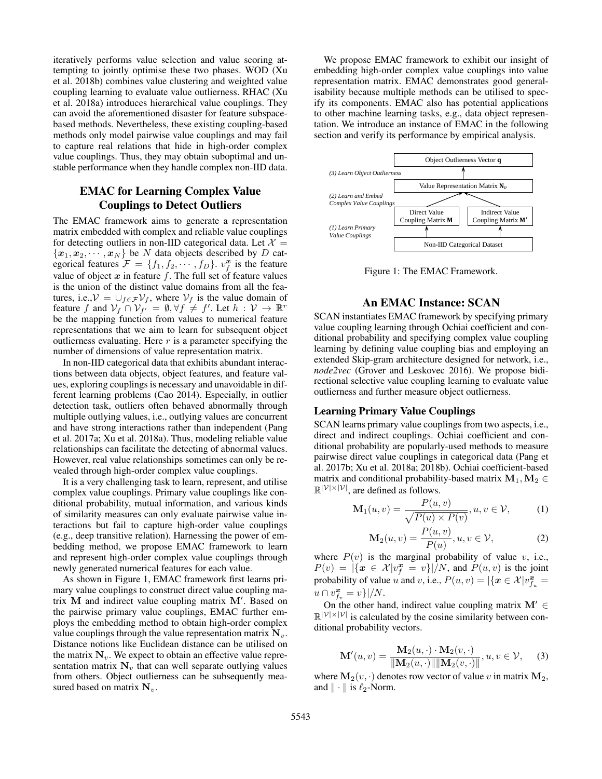iteratively performs value selection and value scoring attempting to jointly optimise these two phases. WOD (Xu et al. 2018b) combines value clustering and weighted value coupling learning to evaluate value outlierness. RHAC (Xu et al. 2018a) introduces hierarchical value couplings. They can avoid the aforementioned disaster for feature subspacebased methods. Nevertheless, these existing coupling-based methods only model pairwise value couplings and may fail to capture real relations that hide in high-order complex value couplings. Thus, they may obtain suboptimal and unstable performance when they handle complex non-IID data.

## EMAC for Learning Complex Value Couplings to Detect Outliers

The EMAC framework aims to generate a representation matrix embedded with complex and reliable value couplings for detecting outliers in non-IID categorical data. Let  $\mathcal{X} =$  ${x_1, x_2, \cdots, x_N}$  be N data objects described by D categorical features  $\mathcal{F} = \{f_1, f_2, \cdots, f_D\}$ .  $v_f^{\mathbf{x}}$  is the feature value of object  $x$  in feature  $f$ . The full set of feature values is the union of the distinct value domains from all the features, i.e.,  $V = \bigcup_{f \in \mathcal{F}} V_f$ , where  $V_f$  is the value domain of feature f and  $V_f \cap V_{f'} = \emptyset, \forall f \neq f'$ . Let  $h : V \to \mathbb{R}^r$ be the mapping function from values to numerical feature representations that we aim to learn for subsequent object outlierness evaluating. Here  $r$  is a parameter specifying the number of dimensions of value representation matrix.

In non-IID categorical data that exhibits abundant interactions between data objects, object features, and feature values, exploring couplings is necessary and unavoidable in different learning problems (Cao 2014). Especially, in outlier detection task, outliers often behaved abnormally through multiple outlying values, i.e., outlying values are concurrent and have strong interactions rather than independent (Pang et al. 2017a; Xu et al. 2018a). Thus, modeling reliable value relationships can facilitate the detecting of abnormal values. However, real value relationships sometimes can only be revealed through high-order complex value couplings.

It is a very challenging task to learn, represent, and utilise complex value couplings. Primary value couplings like conditional probability, mutual information, and various kinds of similarity measures can only evaluate pairwise value interactions but fail to capture high-order value couplings (e.g., deep transitive relation). Harnessing the power of embedding method, we propose EMAC framework to learn and represent high-order complex value couplings through newly generated numerical features for each value.

As shown in Figure 1, EMAC framework first learns primary value couplings to construct direct value coupling matrix  $\mathbf M$  and indirect value coupling matrix  $\mathbf M'$ . Based on the pairwise primary value couplings, EMAC further employs the embedding method to obtain high-order complex value couplings through the value representation matrix  $N_v$ . Distance notions like Euclidean distance can be utilised on the matrix  $N_v$ . We expect to obtain an effective value representation matrix  $N_v$  that can well separate outlying values from others. Object outlierness can be subsequently measured based on matrix  $N_v$ .

We propose EMAC framework to exhibit our insight of embedding high-order complex value couplings into value representation matrix. EMAC demonstrates good generalisability because multiple methods can be utilised to specify its components. EMAC also has potential applications to other machine learning tasks, e.g., data object representation. We introduce an instance of EMAC in the following section and verify its performance by empirical analysis.



Figure 1: The EMAC Framework.

## An EMAC Instance: SCAN

SCAN instantiates EMAC framework by specifying primary value coupling learning through Ochiai coefficient and conditional probability and specifying complex value coupling learning by defining value coupling bias and employing an extended Skip-gram architecture designed for network, i.e., *node2vec* (Grover and Leskovec 2016). We propose bidirectional selective value coupling learning to evaluate value outlierness and further measure object outlierness.

#### Learning Primary Value Couplings

SCAN learns primary value couplings from two aspects, i.e., direct and indirect couplings. Ochiai coefficient and conditional probability are popularly-used methods to measure pairwise direct value couplings in categorical data (Pang et al. 2017b; Xu et al. 2018a; 2018b). Ochiai coefficient-based matrix and conditional probability-based matrix  $M_1, M_2 \in$  $\mathbb{R}^{|\mathcal{V}| \times |\mathcal{V}|}$ , are defined as follows.

$$
\mathbf{M}_1(u,v) = \frac{P(u,v)}{\sqrt{P(u) \times P(v)}}, u, v \in \mathcal{V},
$$
 (1)

$$
\mathbf{M}_2(u,v) = \frac{P(u,v)}{P(u)}, u, v \in \mathcal{V},\tag{2}
$$

where  $P(v)$  is the marginal probability of value v, i.e.,  $P(v) = |\{x \in \mathcal{X} | v_f^x = v\}|/N$ , and  $P(u, v)$  is the joint probability of value u and v, i.e.,  $P(u, v) = |\{x \in \mathcal{X} | v_{f_u}^x =$  $u \cap v_{f_v}^{\mathbf{x}} = v \} | / N.$ 

On the other hand, indirect value coupling matrix  $M' \in$  $\mathbb{R}^{|\mathcal{V}| \times |\mathcal{V}|}$  is calculated by the cosine similarity between conditional probability vectors.

$$
\mathbf{M}'(u,v) = \frac{\mathbf{M}_2(u,\cdot) \cdot \mathbf{M}_2(v,\cdot)}{\|\mathbf{M}_2(u,\cdot)\| \|\mathbf{M}_2(v,\cdot)\|}, u, v \in \mathcal{V}, \quad (3)
$$

where  $M_2(v, \cdot)$  denotes row vector of value v in matrix  $M_2$ , and  $\|\cdot\|$  is  $\ell_2$ -Norm.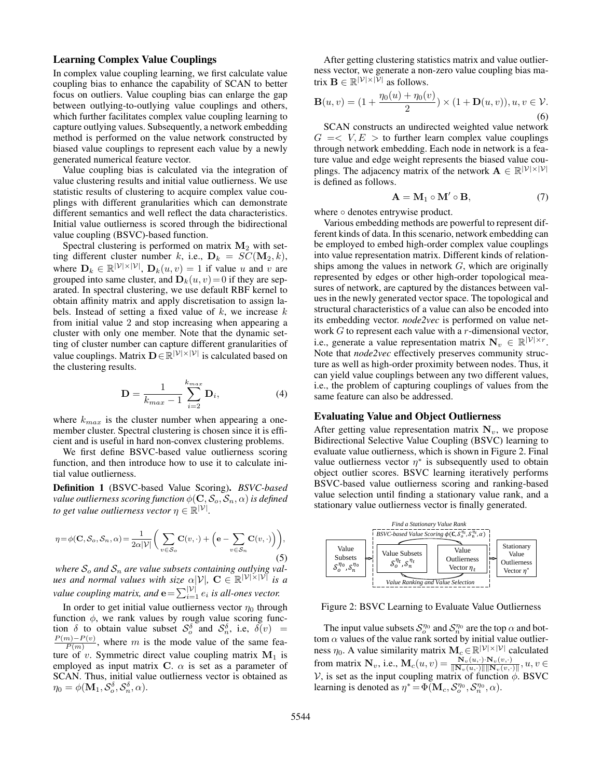#### Learning Complex Value Couplings

In complex value coupling learning, we first calculate value coupling bias to enhance the capability of SCAN to better focus on outliers. Value coupling bias can enlarge the gap between outlying-to-outlying value couplings and others, which further facilitates complex value coupling learning to capture outlying values. Subsequently, a network embedding method is performed on the value network constructed by biased value couplings to represent each value by a newly generated numerical feature vector.

Value coupling bias is calculated via the integration of value clustering results and initial value outlierness. We use statistic results of clustering to acquire complex value couplings with different granularities which can demonstrate different semantics and well reflect the data characteristics. Initial value outlierness is scored through the bidirectional value coupling (BSVC)-based function.

Spectral clustering is performed on matrix  $M_2$  with setting different cluster number k, i.e.,  $\mathbf{D}_k = SC(\mathbf{M}_2, k)$ , where  $\mathbf{D}_k \in \mathbb{R}^{|\mathcal{V}| \times |\mathcal{V}|}$ ,  $\mathbf{D}_k(u, v) = 1$  if value u and v are grouped into same cluster, and  $\mathbf{D}_k(u, v) = 0$  if they are separated. In spectral clustering, we use default RBF kernel to obtain affinity matrix and apply discretisation to assign labels. Instead of setting a fixed value of  $k$ , we increase  $k$ from initial value 2 and stop increasing when appearing a cluster with only one member. Note that the dynamic setting of cluster number can capture different granularities of value couplings. Matrix  $\mathbf{D} \in \mathbb{R}^{|\mathcal{V}| \times |\mathcal{V}|}$  is calculated based on the clustering results.

$$
\mathbf{D} = \frac{1}{k_{max} - 1} \sum_{i=2}^{k_{max}} \mathbf{D}_i,
$$
 (4)

where  $k_{max}$  is the cluster number when appearing a onemember cluster. Spectral clustering is chosen since it is efficient and is useful in hard non-convex clustering problems.

We first define BSVC-based value outlierness scoring function, and then introduce how to use it to calculate initial value outlierness.

Definition 1 (BSVC-based Value Scoring). *BSVC-based value outlierness scoring function*  $\phi(\mathbf{C}, \mathcal{S}_o, \mathcal{S}_n, \alpha)$  *is defined to get value outlierness vector*  $\eta \in \mathbb{R}^{|\mathcal{V}|}$ .

$$
\eta = \phi(\mathbf{C}, S_o, S_n, \alpha) = \frac{1}{2\alpha |\mathcal{V}|} \bigg( \sum_{v \in S_o} \mathbf{C}(v, \cdot) + \Big( \mathbf{e} - \sum_{v \in S_n} \mathbf{C}(v, \cdot) \Big) \bigg),\tag{5}
$$

where  $S_o$  and  $S_n$  are value subsets containing outlying val*ues and normal values with size*  $\alpha |V|$ ,  $C \in \mathbb{R}^{|\mathcal{V}| \times |\mathcal{V}|}$  *is a value coupling matrix, and*  $\mathbf{e} = \sum_{i=1}^{\mathcal{|V|}} e_i$  *is all-ones vector.* 

In order to get initial value outlierness vector  $\eta_0$  through function  $\phi$ , we rank values by rough value scoring function  $\delta$  to obtain value subset  $S_o^{\delta}$  and  $S_n^{\delta}$ , i.e,  $\delta(v)$  =  $P(m)-P(v)$  $\frac{m-P(v)}{P(m)}$ , where m is the mode value of the same feature of v. Symmetric direct value coupling matrix  $M_1$  is employed as input matrix C.  $\alpha$  is set as a parameter of SCAN. Thus, initial value outlierness vector is obtained as  $\eta_0 = \phi(\mathbf{M}_1, \mathcal{S}_o^{\delta}, \mathcal{S}_n^{\delta}, \alpha).$ 

After getting clustering statistics matrix and value outlierness vector, we generate a non-zero value coupling bias matrix  $\mathbf{B} \in \mathbb{R}^{|\mathcal{V}| \times |\mathcal{V}|}$  as follows.

$$
\mathbf{B}(u,v) = (1 + \frac{\eta_0(u) + \eta_0(v)}{2}) \times (1 + \mathbf{D}(u,v)), u, v \in \mathcal{V}.
$$
\n(6)

SCAN constructs an undirected weighted value network  $G = \langle V, E \rangle$  to further learn complex value couplings through network embedding. Each node in network is a feature value and edge weight represents the biased value couplings. The adjacency matrix of the network  $\mathbf{A} \in \mathbb{R}^{|\mathcal{V}| \times |\mathcal{V}|}$ is defined as follows.

$$
\mathbf{A} = \mathbf{M}_1 \circ \mathbf{M}' \circ \mathbf{B},\tag{7}
$$

where ∘ denotes entrywise product.

Various embedding methods are powerful to represent different kinds of data. In this scenario, network embedding can be employed to embed high-order complex value couplings into value representation matrix. Different kinds of relationships among the values in network  $G$ , which are originally represented by edges or other high-order topological measures of network, are captured by the distances between values in the newly generated vector space. The topological and structural characteristics of a value can also be encoded into its embedding vector. *node2vec* is performed on value network  $G$  to represent each value with a  $r$ -dimensional vector, i.e., generate a value representation matrix  $N_v \in \mathbb{R}^{|\mathcal{V}| \times r}$ . Note that *node2vec* effectively preserves community structure as well as high-order proximity between nodes. Thus, it can yield value couplings between any two different values, i.e., the problem of capturing couplings of values from the same feature can also be addressed.

#### Evaluating Value and Object Outlierness

After getting value representation matrix  $N_v$ , we propose Bidirectional Selective Value Coupling (BSVC) learning to evaluate value outlierness, which is shown in Figure 2. Final value outlierness vector  $\eta^*$  is subsequently used to obtain object outlier scores. BSVC learning iteratively performs BSVC-based value outlierness scoring and ranking-based value selection until finding a stationary value rank, and a stationary value outlierness vector is finally generated.



Figure 2: BSVC Learning to Evaluate Value Outlierness

The input value subsets  $\mathcal{S}_o^{\eta_0}$  and  $\mathcal{S}_n^{\eta_0}$  are the top  $\alpha$  and bottom  $\alpha$  values of the value rank sorted by initial value outlierness  $\eta_0$ . A value similarity matrix  $\mathbf{M}_c \in \mathbb{R}^{|\mathcal{V}| \times |\mathcal{V}|}$  calculated from matrix  $\mathbf{N}_v$ , i.e.,  $\mathbf{M}_c(u, v) = \frac{\mathbf{N}_v(u, \cdot) \cdot \mathbf{N}_v(v, \cdot)}{\|\mathbf{N}_v(u, \cdot)\| \|\mathbf{N}_v(v, \cdot)\|}, u, v \in$ V, is set as the input coupling matrix of function  $\phi$ . BSVC learning is denoted as  $\eta^* = \Phi(\mathbf{M}_c, \mathcal{S}_o^{\eta_0}, \mathcal{S}_n^{\eta_0}, \alpha)$ .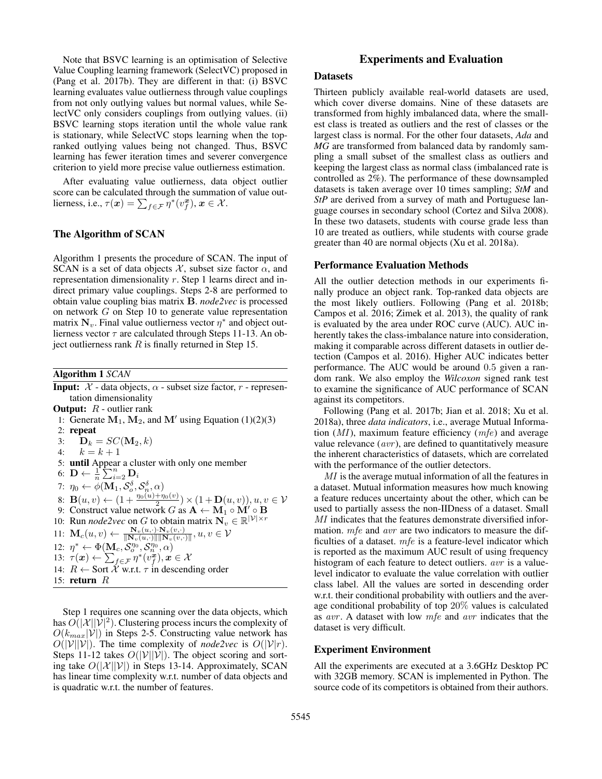Note that BSVC learning is an optimisation of Selective Value Coupling learning framework (SelectVC) proposed in (Pang et al. 2017b). They are different in that: (i) BSVC learning evaluates value outlierness through value couplings from not only outlying values but normal values, while SelectVC only considers couplings from outlying values. (ii) BSVC learning stops iteration until the whole value rank is stationary, while SelectVC stops learning when the topranked outlying values being not changed. Thus, BSVC learning has fewer iteration times and severer convergence criterion to yield more precise value outlierness estimation.

After evaluating value outlierness, data object outlier score can be calculated through the summation of value outlierness, i.e.,  $\tau(\boldsymbol{x}) = \sum_{f \in \mathcal{F}} \eta^*(v_f^{\boldsymbol{x}}), \, \boldsymbol{x} \in \mathcal{X}.$ 

#### The Algorithm of SCAN

Algorithm 1 presents the procedure of SCAN. The input of SCAN is a set of data objects  $X$ , subset size factor  $\alpha$ , and representation dimensionality r. Step 1 learns direct and indirect primary value couplings. Steps 2-8 are performed to obtain value coupling bias matrix B. *node2vec* is processed on network G on Step 10 to generate value representation matrix  $N_v$ . Final value outlierness vector  $\eta^*$  and object outlierness vector  $\tau$  are calculated through Steps 11-13. An object outlierness rank  $R$  is finally returned in Step 15.

Algorithm 1 *SCAN*

**Input:**  $\mathcal{X}$  - data objects,  $\alpha$  - subset size factor,  $r$  - representation dimensionality **Output:**  $R$  - outlier rank 1: Generate  $M_1$ ,  $M_2$ , and  $M'$  using Equation (1)(2)(3) 2: repeat 3:  $\mathbf{D}_k = SC(\mathbf{M}_2, k)$ 4:  $k = k + 1$ 5: until Appear a cluster with only one member 6:  $\mathbf{D} \leftarrow \frac{1}{n} \sum_{i=2}^{n} \mathbf{D}_i$ 7:  $\eta_0 \leftarrow \phi(\mathbf{M}_1, \mathcal{S}_o^{\delta}, \mathcal{S}_n^{\delta}, \alpha)$ 8:  $\mathbf{B}(u, v) \leftarrow (1 + \frac{\eta_0(u) + \eta_0(v)}{2}) \times (1 + \mathbf{D}(u, v)), u, v \in V$ 9: Construct value network G as  $A \leftarrow M_1 \circ M' \circ B$ 10: Run *node2vec* on G to obtain matrix  $\mathbf{N}_v \in \mathbb{R}^{|\mathcal{V}| \times r}$ 11:  $\mathbf{M}_c(u, v) \leftarrow \frac{\mathbf{N}_v(u, \cdot) \cdot \mathbf{N}_v(v, \cdot)}{\|\mathbf{N}_v(u, \cdot)\| \|\mathbf{N}_v(v, \cdot)\|}, u, v \in \mathcal{V}$ 12:  $\eta^* \leftarrow \Phi(\mathbf{M}_c, \mathcal{S}_o^{\eta_0}, \mathcal{S}_n^{\eta_0}, \alpha)$ 13:  $\tau(\boldsymbol{x}) \leftarrow \sum_{f \in \mathcal{F}} \eta^*(v_f^{\boldsymbol{x}}), \boldsymbol{x} \in \mathcal{X}$ 14:  $R \leftarrow$  Sort  $\mathcal{X}$  w.r.t.  $\tau$  in descending order 15: return  $R$ 

Step 1 requires one scanning over the data objects, which has  $O(|\mathcal{X}||\mathcal{V}|^2)$ . Clustering process incurs the complexity of  $O(k_{max}|\mathcal{V}|)$  in Steps 2-5. Constructing value network has  $O(|\mathcal{V}||\mathcal{V}|)$ . The time complexity of *node2vec* is  $O(|\mathcal{V}|r)$ . Steps 11-12 takes  $O(|V||V|)$ . The object scoring and sorting take  $O(|\mathcal{X}||\mathcal{V}|)$  in Steps 13-14. Approximately, SCAN has linear time complexity w.r.t. number of data objects and is quadratic w.r.t. the number of features.

## Experiments and Evaluation

#### **Datasets**

Thirteen publicly available real-world datasets are used, which cover diverse domains. Nine of these datasets are transformed from highly imbalanced data, where the smallest class is treated as outliers and the rest of classes or the largest class is normal. For the other four datasets, *Ada* and *MG* are transformed from balanced data by randomly sampling a small subset of the smallest class as outliers and keeping the largest class as normal class (imbalanced rate is controlled as 2%). The performance of these downsampled datasets is taken average over 10 times sampling; *StM* and *StP* are derived from a survey of math and Portuguese language courses in secondary school (Cortez and Silva 2008). In these two datasets, students with course grade less than 10 are treated as outliers, while students with course grade greater than 40 are normal objects (Xu et al. 2018a).

## Performance Evaluation Methods

All the outlier detection methods in our experiments finally produce an object rank. Top-ranked data objects are the most likely outliers. Following (Pang et al. 2018b; Campos et al. 2016; Zimek et al. 2013), the quality of rank is evaluated by the area under ROC curve (AUC). AUC inherently takes the class-imbalance nature into consideration, making it comparable across different datasets in outlier detection (Campos et al. 2016). Higher AUC indicates better performance. The AUC would be around 0.5 given a random rank. We also employ the *Wilcoxon* signed rank test to examine the significance of AUC performance of SCAN against its competitors.

Following (Pang et al. 2017b; Jian et al. 2018; Xu et al. 2018a), three *data indicators*, i.e., average Mutual Information  $(MI)$ , maximum feature efficiency  $(mfe)$  and average value relevance  $(avr)$ , are defined to quantitatively measure the inherent characteristics of datasets, which are correlated with the performance of the outlier detectors.

MI is the average mutual information of all the features in a dataset. Mutual information measures how much knowing a feature reduces uncertainty about the other, which can be used to partially assess the non-IIDness of a dataset. Small MI indicates that the features demonstrate diversified information. mfe and avr are two indicators to measure the difficulties of a dataset. mfe is a feature-level indicator which is reported as the maximum AUC result of using frequency histogram of each feature to detect outliers. avr is a valuelevel indicator to evaluate the value correlation with outlier class label. All the values are sorted in descending order w.r.t. their conditional probability with outliers and the average conditional probability of top 20% values is calculated as avr . A dataset with low mfe and avr indicates that the dataset is very difficult.

#### Experiment Environment

All the experiments are executed at a 3.6GHz Desktop PC with 32GB memory. SCAN is implemented in Python. The source code of its competitors is obtained from their authors.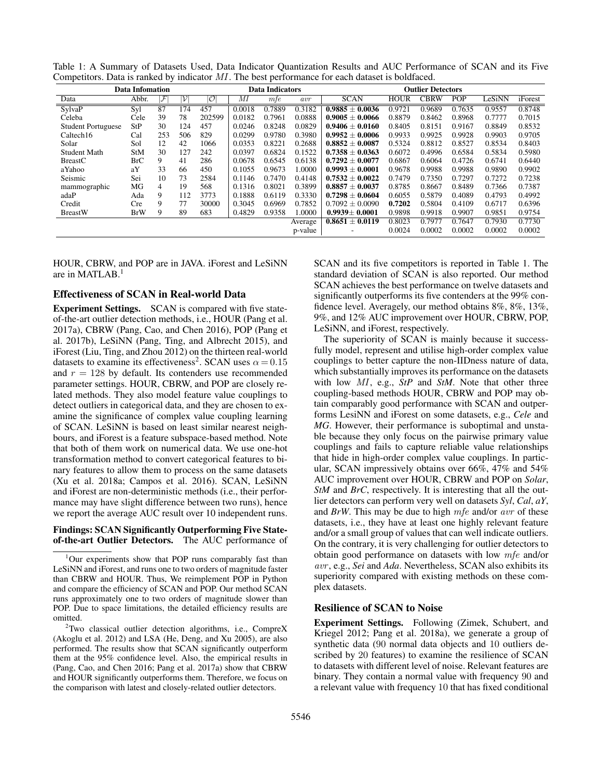|  |                                                                                                     |  |  |  |  |  | Table 1: A Summary of Datasets Used, Data Indicator Quantization Results and AUC Performance of SCAN and its Five |  |  |  |
|--|-----------------------------------------------------------------------------------------------------|--|--|--|--|--|-------------------------------------------------------------------------------------------------------------------|--|--|--|
|  | Competitors. Data is ranked by indicator $MI$ . The best performance for each dataset is boldfaced. |  |  |  |  |  |                                                                                                                   |  |  |  |

|                           | <b>Data Infomation</b> |                          |     |                          |        | <b>Data Indicators</b> |         | <b>Outlier Detectors</b>       |             |             |            |        |         |  |  |
|---------------------------|------------------------|--------------------------|-----|--------------------------|--------|------------------------|---------|--------------------------------|-------------|-------------|------------|--------|---------|--|--|
| Data                      | Abbr.                  | $\overline{\mathcal{F}}$ | ועי | $\overline{\mathcal{O}}$ | MI     | mfe                    | avr     | <b>SCAN</b>                    | <b>HOUR</b> | <b>CBRW</b> | <b>POP</b> | LeSiNN | iForest |  |  |
| SylvaP                    | Syl                    | 87                       | 174 | 457                      | 0.0018 | 0.7889                 | 0.3182  | $\overline{0.9885} \pm 0.0036$ | 0.9721      | 0.9689      | 0.7635     | 0.9557 | 0.8748  |  |  |
| Celeba                    | Cele                   | 39                       | 78  | 202599                   | 0.0182 | 0.7961                 | 0.0888  | $0.9005 \pm 0.0066$            | 0.8879      | 0.8462      | 0.8968     | 0.7777 | 0.7015  |  |  |
| <b>Student Portuguese</b> | StP                    | 30                       | 124 | 457                      | 0.0246 | 0.8248                 | 0.0829  | $0.9406 + 0.0160$              | 0.8405      | 0.8151      | 0.9167     | 0.8849 | 0.8532  |  |  |
| Caltech16                 | Cal                    | 253                      | 506 | 829                      | 0.0299 | 0.9780                 | 0.3980  | $0.9952 + 0.0006$              | 0.9933      | 0.9925      | 0.9928     | 0.9903 | 0.9705  |  |  |
| Solar                     | Sol                    | 12                       | 42  | 1066                     | 0.0353 | 0.8221                 | 0.2688  | $0.8852 + 0.0087$              | 0.5324      | 0.8812      | 0.8527     | 0.8534 | 0.8403  |  |  |
| <b>Student Math</b>       | <b>StM</b>             | 30                       | 127 | 242                      | 0.0397 | 0.6824                 | 0.1522  | $0.7358 \pm 0.0363$            | 0.6072      | 0.4996      | 0.6584     | 0.5834 | 0.5980  |  |  |
| <b>BreastC</b>            | <b>BrC</b>             | 9                        | 41  | 286                      | 0.0678 | 0.6545                 | 0.6138  | $0.7292 \pm 0.0077$            | 0.6867      | 0.6064      | 0.4726     | 0.6741 | 0.6440  |  |  |
| aYahoo                    | aY                     | 33                       | 66  | 450                      | 0.1055 | 0.9673                 | 1.0000  | $0.9993 \pm 0.0001$            | 0.9678      | 0.9988      | 0.9988     | 0.9890 | 0.9902  |  |  |
| Seismic                   | Sei                    | 10                       | 73  | 2584                     | 0.1146 | 0.7470                 | 0.4148  | $0.7532 \pm 0.0022$            | 0.7479      | 0.7350      | 0.7297     | 0.7272 | 0.7238  |  |  |
| mammographic              | МG                     | 4                        | 19  | 568                      | 0.1316 | 0.8021                 | 0.3899  | $0.8857 \pm 0.0037$            | 0.8785      | 0.8667      | 0.8489     | 0.7366 | 0.7387  |  |  |
| adaP                      | Ada                    | 9                        | 112 | 3773                     | 0.1888 | 0.6119                 | 0.3330  | $0.7298 \pm 0.0604$            | 0.6055      | 0.5879      | 0.4089     | 0.4793 | 0.4992  |  |  |
| Credit                    | Cre                    | 9                        | 77  | 30000                    | 0.3045 | 0.6969                 | 0.7852  | $0.7092 \pm 0.0090$            | 0.7202      | 0.5804      | 0.4109     | 0.6717 | 0.6396  |  |  |
| <b>BreastW</b>            | <b>BrW</b>             | 9                        | 89  | 683                      | 0.4829 | 0.9358                 | 1.0000  | $0.9939 \pm 0.0001$            | 0.9898      | 0.9918      | 0.9907     | 0.9851 | 0.9754  |  |  |
|                           |                        |                          |     |                          |        |                        | Average | $\overline{0.8651 \pm 0.0119}$ | 0.8023      | 0.7977      | 0.7647     | 0.7930 | 0.7730  |  |  |
|                           |                        |                          |     |                          |        |                        | p-value |                                | 0.0024      | 0.0002      | 0.0002     | 0.0002 | 0.0002  |  |  |

HOUR, CBRW, and POP are in JAVA. iForest and LeSiNN are in MATLAB.<sup>1</sup>

#### Effectiveness of SCAN in Real-world Data

Experiment Settings. SCAN is compared with five stateof-the-art outlier detection methods, i.e., HOUR (Pang et al. 2017a), CBRW (Pang, Cao, and Chen 2016), POP (Pang et al. 2017b), LeSiNN (Pang, Ting, and Albrecht 2015), and iForest (Liu, Ting, and Zhou 2012) on the thirteen real-world datasets to examine its effectiveness<sup>2</sup>. SCAN uses  $\alpha = 0.15$ and  $r = 128$  by default. Its contenders use recommended parameter settings. HOUR, CBRW, and POP are closely related methods. They also model feature value couplings to detect outliers in categorical data, and they are chosen to examine the significance of complex value coupling learning of SCAN. LeSiNN is based on least similar nearest neighbours, and iForest is a feature subspace-based method. Note that both of them work on numerical data. We use one-hot transformation method to convert categorical features to binary features to allow them to process on the same datasets (Xu et al. 2018a; Campos et al. 2016). SCAN, LeSiNN and iForest are non-deterministic methods (i.e., their performance may have slight difference between two runs), hence we report the average AUC result over 10 independent runs.

## Findings: SCAN Significantly Outperforming Five Stateof-the-art Outlier Detectors. The AUC performance of

SCAN and its five competitors is reported in Table 1. The standard deviation of SCAN is also reported. Our method SCAN achieves the best performance on twelve datasets and significantly outperforms its five contenders at the 99% confidence level. Averagely, our method obtains 8%, 8%, 13%, 9%, and 12% AUC improvement over HOUR, CBRW, POP, LeSiNN, and iForest, respectively.

The superiority of SCAN is mainly because it successfully model, represent and utilise high-order complex value couplings to better capture the non-IIDness nature of data, which substantially improves its performance on the datasets with low MI, e.g., *StP* and *StM*. Note that other three coupling-based methods HOUR, CBRW and POP may obtain comparably good performance with SCAN and outperforms LesiNN and iForest on some datasets, e.g., *Cele* and *MG*. However, their performance is suboptimal and unstable because they only focus on the pairwise primary value couplings and fails to capture reliable value relationships that hide in high-order complex value couplings. In particular, SCAN impressively obtains over 66%, 47% and 54% AUC improvement over HOUR, CBRW and POP on *Solar*, *StM* and *BrC*, respectively. It is interesting that all the outlier detectors can perform very well on datasets *Syl*, *Cal*, *aY*, and *BrW*. This may be due to high mfe and/or avr of these datasets, i.e., they have at least one highly relevant feature and/or a small group of values that can well indicate outliers. On the contrary, it is very challenging for outlier detectors to obtain good performance on datasets with low mfe and/or avr , e.g., *Sei* and *Ada*. Nevertheless, SCAN also exhibits its superiority compared with existing methods on these complex datasets.

#### Resilience of SCAN to Noise

Experiment Settings. Following (Zimek, Schubert, and Kriegel 2012; Pang et al. 2018a), we generate a group of synthetic data (90 normal data objects and 10 outliers described by 20 features) to examine the resilience of SCAN to datasets with different level of noise. Relevant features are binary. They contain a normal value with frequency 90 and a relevant value with frequency 10 that has fixed conditional

<sup>&</sup>lt;sup>1</sup>Our experiments show that POP runs comparably fast than LeSiNN and iForest, and runs one to two orders of magnitude faster than CBRW and HOUR. Thus, We reimplement POP in Python and compare the efficiency of SCAN and POP. Our method SCAN runs approximately one to two orders of magnitude slower than POP. Due to space limitations, the detailed efficiency results are omitted.

<sup>2</sup>Two classical outlier detection algorithms, i.e., CompreX (Akoglu et al. 2012) and LSA (He, Deng, and Xu 2005), are also performed. The results show that SCAN significantly outperform them at the 95% confidence level. Also, the empirical results in (Pang, Cao, and Chen 2016; Pang et al. 2017a) show that CBRW and HOUR significantly outperforms them. Therefore, we focus on the comparison with latest and closely-related outlier detectors.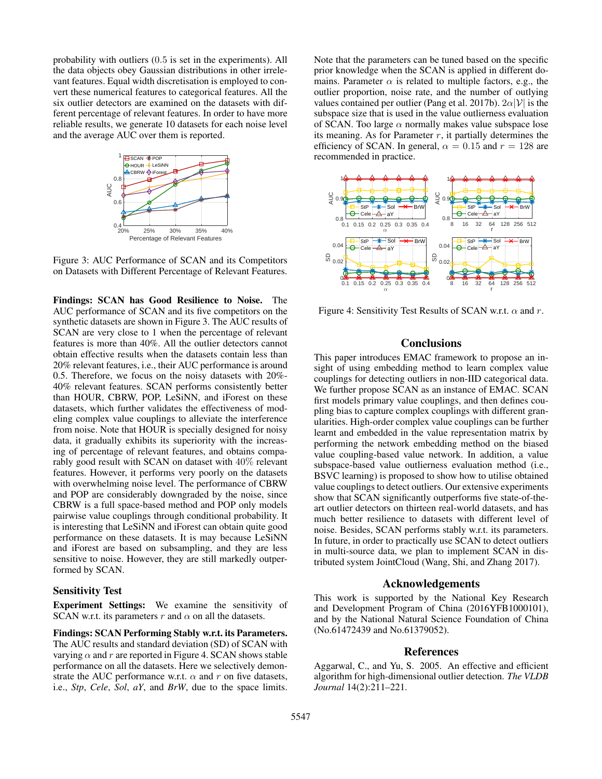probability with outliers (0.5 is set in the experiments). All the data objects obey Gaussian distributions in other irrelevant features. Equal width discretisation is employed to convert these numerical features to categorical features. All the six outlier detectors are examined on the datasets with different percentage of relevant features. In order to have more reliable results, we generate 10 datasets for each noise level and the average AUC over them is reported.



Figure 3: AUC Performance of SCAN and its Competitors on Datasets with Different Percentage of Relevant Features.

Findings: SCAN has Good Resilience to Noise. The AUC performance of SCAN and its five competitors on the synthetic datasets are shown in Figure 3. The AUC results of SCAN are very close to 1 when the percentage of relevant features is more than 40%. All the outlier detectors cannot obtain effective results when the datasets contain less than 20% relevant features, i.e., their AUC performance is around 0.5. Therefore, we focus on the noisy datasets with 20%- 40% relevant features. SCAN performs consistently better than HOUR, CBRW, POP, LeSiNN, and iForest on these datasets, which further validates the effectiveness of modeling complex value couplings to alleviate the interference from noise. Note that HOUR is specially designed for noisy data, it gradually exhibits its superiority with the increasing of percentage of relevant features, and obtains comparably good result with SCAN on dataset with 40% relevant features. However, it performs very poorly on the datasets with overwhelming noise level. The performance of CBRW and POP are considerably downgraded by the noise, since CBRW is a full space-based method and POP only models pairwise value couplings through conditional probability. It is interesting that LeSiNN and iForest can obtain quite good performance on these datasets. It is may because LeSiNN and iForest are based on subsampling, and they are less sensitive to noise. However, they are still markedly outperformed by SCAN.

#### Sensitivity Test

Experiment Settings: We examine the sensitivity of SCAN w.r.t. its parameters r and  $\alpha$  on all the datasets.

Findings: SCAN Performing Stably w.r.t. its Parameters. The AUC results and standard deviation (SD) of SCAN with varying  $\alpha$  and r are reported in Figure 4. SCAN shows stable performance on all the datasets. Here we selectively demonstrate the AUC performance w.r.t.  $\alpha$  and r on five datasets, i.e., *Stp*, *Cele*, *Sol*, *aY*, and *BrW*, due to the space limits.

Note that the parameters can be tuned based on the specific prior knowledge when the SCAN is applied in different domains. Parameter  $\alpha$  is related to multiple factors, e.g., the outlier proportion, noise rate, and the number of outlying values contained per outlier (Pang et al. 2017b).  $2\alpha |\mathcal{V}|$  is the subspace size that is used in the value outlierness evaluation of SCAN. Too large  $\alpha$  normally makes value subspace lose its meaning. As for Parameter  $r$ , it partially determines the efficiency of SCAN. In general,  $\alpha = 0.15$  and  $r = 128$  are recommended in practice.



Figure 4: Sensitivity Test Results of SCAN w.r.t.  $\alpha$  and r.

## **Conclusions**

This paper introduces EMAC framework to propose an insight of using embedding method to learn complex value couplings for detecting outliers in non-IID categorical data. We further propose SCAN as an instance of EMAC. SCAN first models primary value couplings, and then defines coupling bias to capture complex couplings with different granularities. High-order complex value couplings can be further learnt and embedded in the value representation matrix by performing the network embedding method on the biased value coupling-based value network. In addition, a value subspace-based value outlierness evaluation method (i.e., BSVC learning) is proposed to show how to utilise obtained value couplings to detect outliers. Our extensive experiments show that SCAN significantly outperforms five state-of-theart outlier detectors on thirteen real-world datasets, and has much better resilience to datasets with different level of noise. Besides, SCAN performs stably w.r.t. its parameters. In future, in order to practically use SCAN to detect outliers in multi-source data, we plan to implement SCAN in distributed system JointCloud (Wang, Shi, and Zhang 2017).

## Acknowledgements

This work is supported by the National Key Research and Development Program of China (2016YFB1000101), and by the National Natural Science Foundation of China (No.61472439 and No.61379052).

#### References

Aggarwal, C., and Yu, S. 2005. An effective and efficient algorithm for high-dimensional outlier detection. *The VLDB Journal* 14(2):211–221.